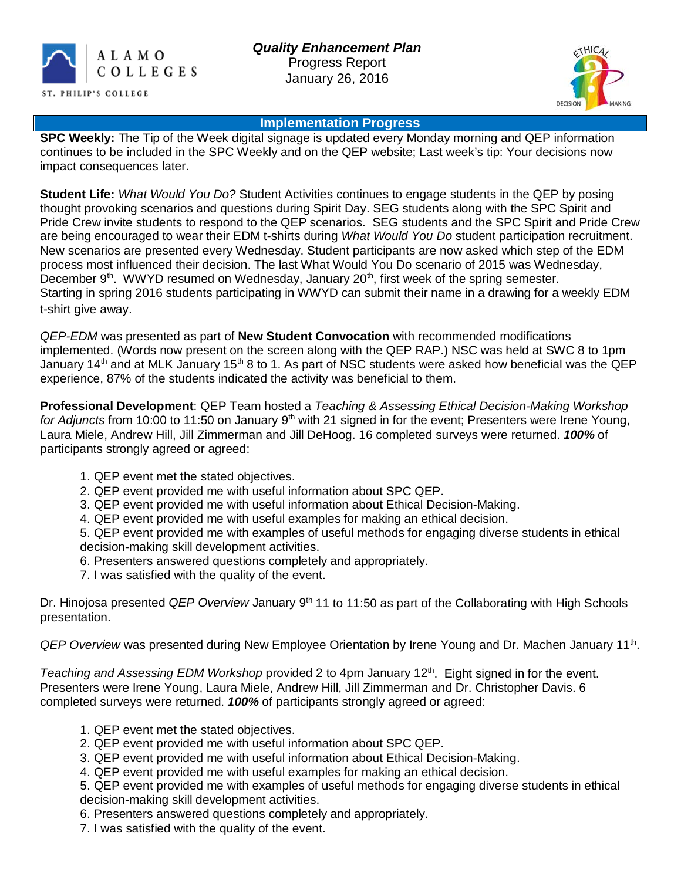



## **Implementation Progress**

**SPC Weekly:** The Tip of the Week digital signage is updated every Monday morning and QEP information continues to be included in the SPC Weekly and on the QEP website; Last week's tip: Your decisions now impact consequences later.

**Student Life:** *What Would You Do?* Student Activities continues to engage students in the QEP by posing thought provoking scenarios and questions during Spirit Day. SEG students along with the SPC Spirit and Pride Crew invite students to respond to the QEP scenarios. SEG students and the SPC Spirit and Pride Crew are being encouraged to wear their EDM t-shirts during *What Would You Do* student participation recruitment. New scenarios are presented every Wednesday. Student participants are now asked which step of the EDM process most influenced their decision. The last What Would You Do scenario of 2015 was Wednesday, December  $9<sup>th</sup>$ . WWYD resumed on Wednesday, January  $20<sup>th</sup>$ , first week of the spring semester. Starting in spring 2016 students participating in WWYD can submit their name in a drawing for a weekly EDM t-shirt give away.

*QEP-EDM* was presented as part of **New Student Convocation** with recommended modifications implemented. (Words now present on the screen along with the QEP RAP.) NSC was held at SWC 8 to 1pm January 14<sup>th</sup> and at MLK January 15<sup>th</sup> 8 to 1. As part of NSC students were asked how beneficial was the QEP experience, 87% of the students indicated the activity was beneficial to them.

**Professional Development**: QEP Team hosted a *Teaching & Assessing Ethical Decision-Making Workshop*  for Adjuncts from 10:00 to 11:50 on January 9<sup>th</sup> with 21 signed in for the event; Presenters were Irene Young, Laura Miele, Andrew Hill, Jill Zimmerman and Jill DeHoog. 16 completed surveys were returned. *100%* of participants strongly agreed or agreed:

- 1. QEP event met the stated objectives.
- 2. QEP event provided me with useful information about SPC QEP.
- 3. QEP event provided me with useful information about Ethical Decision-Making.
- 4. QEP event provided me with useful examples for making an ethical decision.

5. QEP event provided me with examples of useful methods for engaging diverse students in ethical decision-making skill development activities.

- 6. Presenters answered questions completely and appropriately.
- 7. I was satisfied with the quality of the event.

Dr. Hinojosa presented *QEP Overview* January 9<sup>th</sup> 11 to 11:50 as part of the Collaborating with High Schools presentation.

*QEP Overview* was presented during New Employee Orientation by Irene Young and Dr. Machen January 11th.

*Teaching and Assessing EDM Workshop* provided 2 to 4pm January 12<sup>th</sup>. Eight signed in for the event. Presenters were Irene Young, Laura Miele, Andrew Hill, Jill Zimmerman and Dr. Christopher Davis. 6 completed surveys were returned. *100%* of participants strongly agreed or agreed:

- 1. QEP event met the stated objectives.
- 2. QEP event provided me with useful information about SPC QEP.
- 3. QEP event provided me with useful information about Ethical Decision-Making.
- 4. QEP event provided me with useful examples for making an ethical decision.

5. QEP event provided me with examples of useful methods for engaging diverse students in ethical decision-making skill development activities.

6. Presenters answered questions completely and appropriately.

7. I was satisfied with the quality of the event.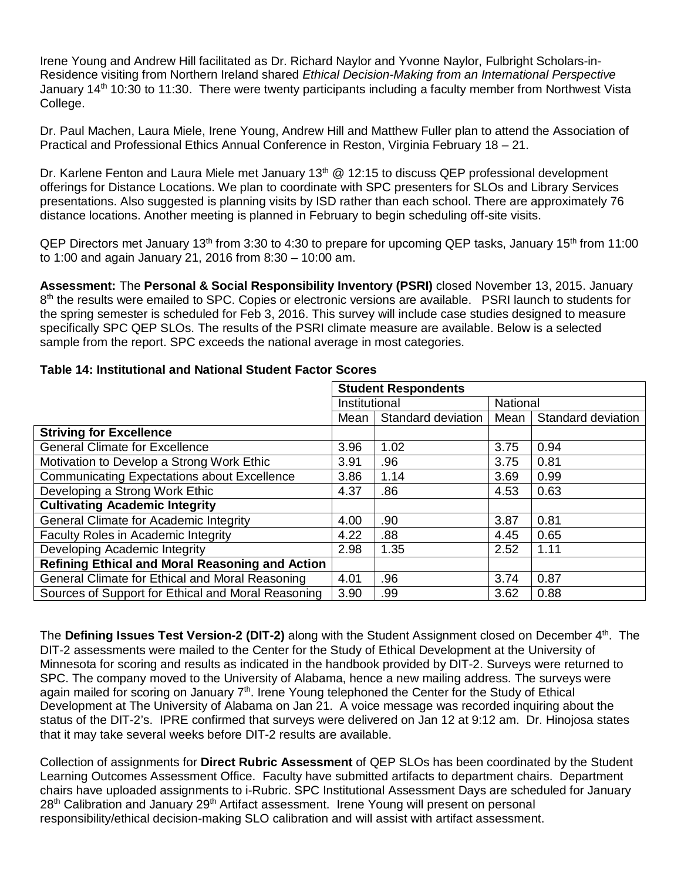Irene Young and Andrew Hill facilitated as Dr. Richard Naylor and Yvonne Naylor, Fulbright Scholars-in-Residence visiting from Northern Ireland shared *Ethical Decision-Making from an International Perspective* January 14<sup>th</sup> 10:30 to 11:30. There were twenty participants including a faculty member from Northwest Vista College.

Dr. Paul Machen, Laura Miele, Irene Young, Andrew Hill and Matthew Fuller plan to attend the Association of Practical and Professional Ethics Annual Conference in Reston, Virginia February 18 – 21.

Dr. Karlene Fenton and Laura Miele met January 13<sup>th</sup>  $@$  12:15 to discuss QEP professional development offerings for Distance Locations. We plan to coordinate with SPC presenters for SLOs and Library Services presentations. Also suggested is planning visits by ISD rather than each school. There are approximately 76 distance locations. Another meeting is planned in February to begin scheduling off-site visits.

QEP Directors met January 13<sup>th</sup> from 3:30 to 4:30 to prepare for upcoming QEP tasks, January 15<sup>th</sup> from 11:00 to 1:00 and again January 21, 2016 from 8:30 – 10:00 am.

**Assessment:** The **Personal & Social Responsibility Inventory (PSRI)** closed November 13, 2015. January 8<sup>th</sup> the results were emailed to SPC. Copies or electronic versions are available. PSRI launch to students for the spring semester is scheduled for Feb 3, 2016. This survey will include case studies designed to measure specifically SPC QEP SLOs. The results of the PSRI climate measure are available. Below is a selected sample from the report. SPC exceeds the national average in most categories.

|                                                        | <b>Student Respondents</b> |                    |                 |                    |
|--------------------------------------------------------|----------------------------|--------------------|-----------------|--------------------|
|                                                        |                            |                    |                 |                    |
|                                                        | Institutional              |                    | <b>National</b> |                    |
|                                                        | Mean                       | Standard deviation | Mean            | Standard deviation |
| <b>Striving for Excellence</b>                         |                            |                    |                 |                    |
| <b>General Climate for Excellence</b>                  | 3.96                       | 1.02               | 3.75            | 0.94               |
| Motivation to Develop a Strong Work Ethic              | 3.91                       | .96                | 3.75            | 0.81               |
| <b>Communicating Expectations about Excellence</b>     | 3.86                       | 1.14               | 3.69            | 0.99               |
| Developing a Strong Work Ethic                         | 4.37                       | .86                | 4.53            | 0.63               |
| <b>Cultivating Academic Integrity</b>                  |                            |                    |                 |                    |
| General Climate for Academic Integrity                 | 4.00                       | .90                | 3.87            | 0.81               |
| <b>Faculty Roles in Academic Integrity</b>             | 4.22                       | .88                | 4.45            | 0.65               |
| Developing Academic Integrity                          | 2.98                       | 1.35               | 2.52            | 1.11               |
| <b>Refining Ethical and Moral Reasoning and Action</b> |                            |                    |                 |                    |
| General Climate for Ethical and Moral Reasoning        | 4.01                       | .96                | 3.74            | 0.87               |
| Sources of Support for Ethical and Moral Reasoning     | 3.90                       | .99                | 3.62            | 0.88               |

## **Table 14: Institutional and National Student Factor Scores**

The **Defining Issues Test Version-2 (DIT-2)** along with the Student Assignment closed on December 4th. The DIT-2 assessments were mailed to the Center for the Study of Ethical Development at the University of Minnesota for scoring and results as indicated in the handbook provided by DIT-2. Surveys were returned to SPC. The company moved to the University of Alabama, hence a new mailing address. The surveys were again mailed for scoring on January 7<sup>th</sup>. Irene Young telephoned the Center for the Study of Ethical Development at The University of Alabama on Jan 21. A voice message was recorded inquiring about the status of the DIT-2's. IPRE confirmed that surveys were delivered on Jan 12 at 9:12 am. Dr. Hinojosa states that it may take several weeks before DIT-2 results are available.

Collection of assignments for **Direct Rubric Assessment** of QEP SLOs has been coordinated by the Student Learning Outcomes Assessment Office. Faculty have submitted artifacts to department chairs. Department chairs have uploaded assignments to i-Rubric. SPC Institutional Assessment Days are scheduled for January 28<sup>th</sup> Calibration and January 29<sup>th</sup> Artifact assessment. Irene Young will present on personal responsibility/ethical decision-making SLO calibration and will assist with artifact assessment.